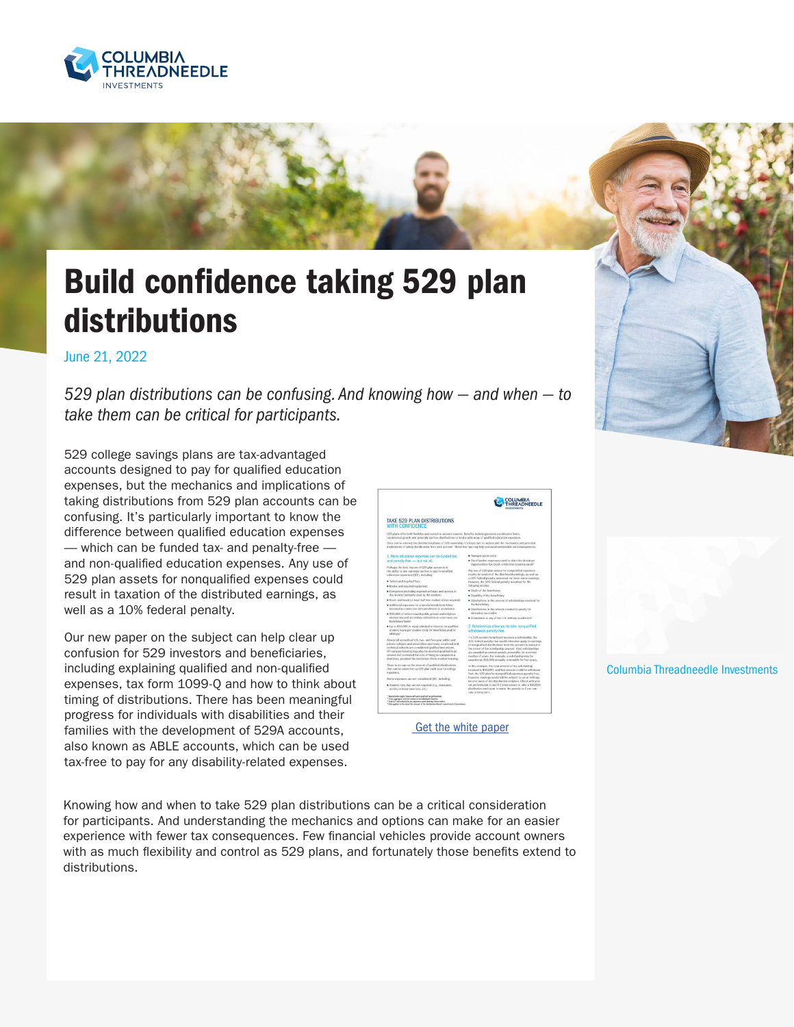

## Build confidence taking 529 plan distributions

June 21, 2022

*529 plan distributions can be confusing. And knowing how — and when — to take them can be critical for participants.*

529 college savings plans are tax-advantaged accounts designed to pay for qualified education expenses, but the mechanics and implications of taking distributions from 529 plan accounts can be confusing. It's particularly important to know the difference between qualified education expenses — which can be funded tax- and penalty-free and non-qualified education expenses. Any use of 529 plan assets for nonqualified expenses could result in taxation of the distributed earnings, as well as a 10% federal penalty.

Our new paper on the subject can help clear up confusion for 529 investors and beneficiaries, including explaining qualified and non-qualified expenses, tax form 1099-Q and how to think about timing of distributions. There has been meaningful progress for individuals with disabilities and their families with the development of 529A accounts, also known as ABLE accounts, which can be used tax-free to pay for any disability-related expenses.

|                                                                                                                                                                                                                                                                                                                                                                      | OLUMBI<br><b>READNEEDLE</b>                                                                                                                                                                                                                                                                                                                                                                                                 |
|----------------------------------------------------------------------------------------------------------------------------------------------------------------------------------------------------------------------------------------------------------------------------------------------------------------------------------------------------------------------|-----------------------------------------------------------------------------------------------------------------------------------------------------------------------------------------------------------------------------------------------------------------------------------------------------------------------------------------------------------------------------------------------------------------------------|
| TAKE 529 PLAN DISTRIBUTIONS<br><b>WITH CONFIDENCE</b>                                                                                                                                                                                                                                                                                                                |                                                                                                                                                                                                                                                                                                                                                                                                                             |
| 529 plans offer both floshilly and control to account owners. Benefits include penerous contribution limits.<br>tax-deferred growth and generally tax-free distributions to fund a wide array of qualified education expenses.                                                                                                                                       |                                                                                                                                                                                                                                                                                                                                                                                                                             |
| Once you've entered the distribution phase of 520 contentio, it's important to understand the mechanics and potential<br>implications of taking distributions from your account. These five tips may help you avoid unintended tax consequences.                                                                                                                     |                                                                                                                                                                                                                                                                                                                                                                                                                             |
| 1. Many education expenses can be funded tax-                                                                                                                                                                                                                                                                                                                        | · Transportation costs.                                                                                                                                                                                                                                                                                                                                                                                                     |
| and penalty-free - but not all.                                                                                                                                                                                                                                                                                                                                      | · Out-of-pocket expenses used to claim the American<br>Opportunities Tax Credit or Lifetime Learning credit <sup>1</sup>                                                                                                                                                                                                                                                                                                    |
| Perhaps the best feature of 529 plan accounts is<br>the ability to use carnings tax free to pay for custified<br>education expenses (QEE), including:                                                                                                                                                                                                                | Any use of 529 plan assets for nongualified expenses.<br>results in taxation of the distributed comings, as well as<br>a 10% federal penalty assessed on those same carrings.                                                                                                                                                                                                                                               |
| . Tuiting and required fresh                                                                                                                                                                                                                                                                                                                                         | However, the 10% federal penalty is waived for the<br>following criteria:                                                                                                                                                                                                                                                                                                                                                   |
| · Books and required equipment.                                                                                                                                                                                                                                                                                                                                      | Death of the beneficiary                                                                                                                                                                                                                                                                                                                                                                                                    |
| · Computers (including required software and access to<br>the internet printarily used by the student)                                                                                                                                                                                                                                                               | · Disability of the beneficiary                                                                                                                                                                                                                                                                                                                                                                                             |
| · Room and board (at least half-time student status required)                                                                                                                                                                                                                                                                                                        | · Distributions in the amount of scholarships received for                                                                                                                                                                                                                                                                                                                                                                  |
| · Additional experient for a special needs beneficiary                                                                                                                                                                                                                                                                                                               | the beneficiary                                                                                                                                                                                                                                                                                                                                                                                                             |
| incurred in connection with enrollment or attendance                                                                                                                                                                                                                                                                                                                 | · Distributions in the amount needed to estably for                                                                                                                                                                                                                                                                                                                                                                         |
| * \$10,000 of tuition toward public, private and religious.<br>elementary and secondary education on a per year, per-<br>beneficiary basis <sup>1</sup>                                                                                                                                                                                                              | education toy credits.<br>* Attendance at any of the U.S. military academies*                                                                                                                                                                                                                                                                                                                                               |
| · Up to \$10,000 to repay principal or interest on qualified<br>student loans per student (only for beneficiary and/or<br>siblings?                                                                                                                                                                                                                                  | 2. Scholarships allow you to take nonqualified<br>withdrawals penalty-free.                                                                                                                                                                                                                                                                                                                                                 |
| Almost all accredited U.S. two- and four-year public and<br>private colleges and universities and many vocational and<br>technical schools are considered qualified institutions.<br>Off-campus housing may also be deemed catalified in an<br>arrount not to exceed the cost of living on campus in a<br>domitory, provided the institution offers student housing, | f a 529 account beneficiary receives a scholarship, the<br>10% federal penalty that would otherwise apply to earnings.<br>of romasplified distributions from the account is staked to<br>the extent of the scholarship amount. Most scholarships<br>are awarded as annual awards, renewable for a certain<br>number of years. For example, a scholarship may be<br>awarded as \$10,000 arresally, renovable for four years. |
| There is no cap on the amount of qualified distributions<br>that can be taken from a 529 plan each year for college<br>expenses.                                                                                                                                                                                                                                     | in this example, the total amount of the scholarship<br>received is \$40,000, and that arses re ould be withdrawn.<br>from the 529 plan for nonqualified expenses penalty-free;                                                                                                                                                                                                                                             |
| Some expenses are not considered OEE, including:                                                                                                                                                                                                                                                                                                                     | however, earnings would still be subject to tax at ordinary<br>income rates of the distribution recipient. Check with your                                                                                                                                                                                                                                                                                                  |
| Student fees that are not required (e.g., insurance,<br>activity or intrarrunal fees, etc.)                                                                                                                                                                                                                                                                          | tax professional to see if it's necessary to take a \$10,000.<br>distribution each year to waive the penalty or if you can<br>take a kerin sam.                                                                                                                                                                                                                                                                             |
| Social rules andy Disease with your analyted top professional.<br>in the approprs, over the course of an individual's lifetime.<br><sup>1</sup> local CCI are soduped by any expenses used cheminal these credits.<br>* Only applies in the extent the amount of the distribution doesn't moved cost of attendance.                                                  |                                                                                                                                                                                                                                                                                                                                                                                                                             |

[Get the white paper](https://www.columbiathreadneedleus.com/binaries/content/assets/cti-blog/529-wp.pdf)

Columbia Threadneedle Investments

Knowing how and when to take 529 plan distributions can be a critical consideration for participants. And understanding the mechanics and options can make for an easier experience with fewer tax consequences. Few financial vehicles provide account owners with as much flexibility and control as 529 plans, and fortunately those benefits extend to distributions.